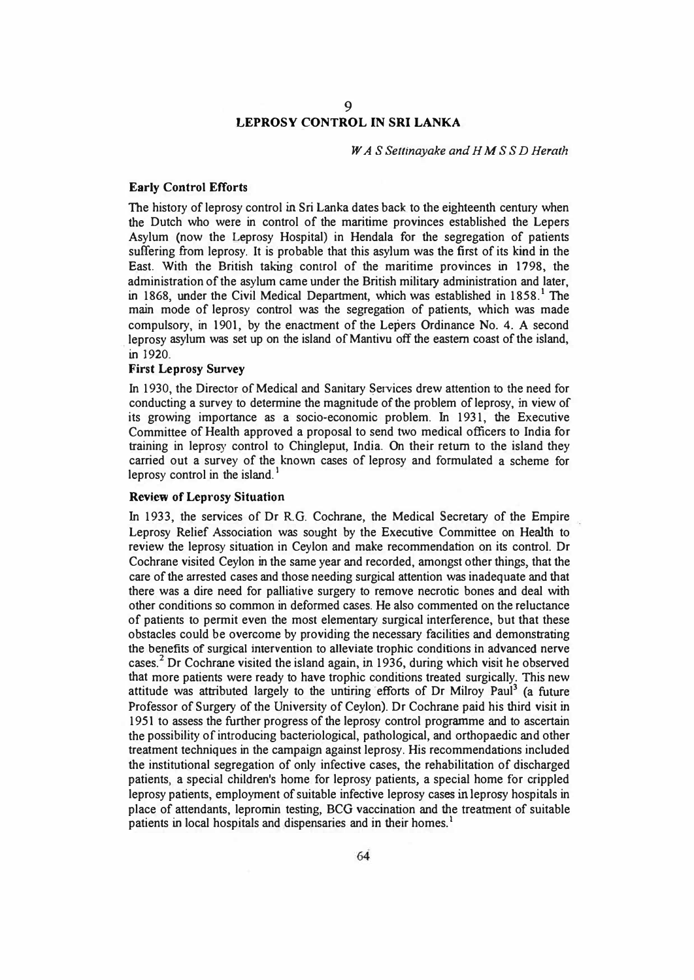# **9 LEPROSY CONTROL** IN **SRI LANKA**

*WA* S *Settinayake and HMS SD Herath* 

### **Early Control Efforts**

The history of leprosy control in Sri Lanka dates back to the eighteenth century when the Dutch who were in control of the maritime provinces established the Lepers Asylum (now the Leprosy Hospital) in Hendala for the segregation of patients suffering from leprosy. It is probable that this asylum was the first of its kind in the East. With the British taking control of the maritime provinces in 1798, the administration of the asylum came under the British military administration and later, in 1868, under the Civil Medical Department, which was established in  $1858<sup>1</sup>$ . The main mode of leprosy control was the segregation of patients, which was made compulsory, in 1901, by the enactment of the Lepers Ordinance No. 4. A second leprosy asylum was set up on the island of Mantivu off the eastern coast of the island, in 1920.

### **First Leprosy Survey**

In 1930, the Director of Medical and Sanitary �ervices drew attention to the need for conducting a survey to determine the magnitude of the problem of leprosy, in view of its growing importance as a socio-economic problem. In 1931, the Executive Committee of Health approved a proposal to send two medical officers to India for training in leprosy control to Chingleput, India. On their return to the island they carried out a survey of the known cases of leprosy and formulated a scheme for leprosy control in the island. $<sup>1</sup>$ </sup>

### **Review of Leprosy Situation**

In 1933, the services of Dr R.G. Cochrane, the Medical Secretary of the Empire Leprosy Relief Association was sought by the Executive Committee on Health to review the leprosy situation in Ceylon and make recommendation on its control. Dr Cochrane visited Ceylon in the same year and recorded, amongst other things, that the care of the arrested cases and those needing surgical attention was inadequate and that there was a dire need for palliative surgery to remove necrotic bones and deal with other conditions so common in deformed cases. He also commented on the reluctance of patients to permit even the most elementary surgical interference, but that these obstacles could be overcome by providing the necessary facilities and demonstrating the benefits of surgical intervention to alleviate trophic conditions in advanced nerve cases.**<sup>2</sup>**Dr Cochrane visited the island again, in 1936, during which visit he observed that more patients were ready to have trophic conditions treated surgically. This new attitude was attributed largely to the untiring efforts of Dr Milroy Paul<sup>3</sup> (a future Professor of Surgery of the University of Ceylon). Dr Cochrane paid his third visit in 1951 to assess the further progress of the leprosy control programme and to ascertain the possibility of introducing bacteriological, pathological, and orthopaedic and other treatment techniques in the campaign against leprosy. His recommendations included the institutional segregation of only infective cases, the rehabilitation of discharged patients, a special children's home for leprosy patients, a special home for crippled leprosy patients, employment of suitable infective leprosy cases in leprosy hospitals in place of attendants, leprornin testing, BCG vaccination and the treatment of suitable patients in local hospitals and dispensaries and in their homes.<sup>1</sup>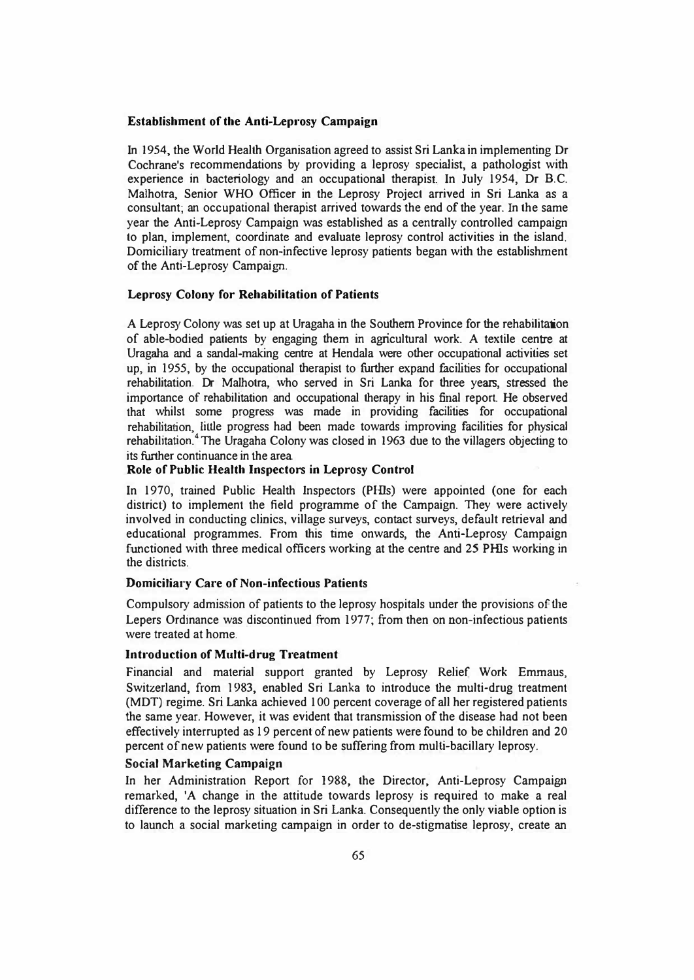### **Establishment of the Anti-Leprosy Campaign**

In 1954, the World Health Organisation agreed to assist Sri Lanka in implementing Dr Cochrane's recommendations by providing a leprosy specialist, a pathologist with experience in bacteriology and an occupational therapist In July 1954, Dr B.C. Malhotra, Senior WHO Officer in the Leprosy Project arrived in Sri Lanka as a consultant; an occupational therapist arrived towards the end of the year. In the same year the Anti-Leprosy Campaign was established as a centrally controlled campaign to plan, implement, coordinate and evaluate leprosy control activities in the island. Domiciliary treatment of non-infective leprosy patients began with the establishment of the Anti-Leprosy Campaign.

### **Leprosy Colony for Rehabilitation of Patients**

A Leprosy Colony was set up at Uragaha in 1he Southern Province for 1he rehabilitation of able-bodied patients by engaging them in agricultural work. A textile centre at Uragaha and a sandal-making centre at Hendala were other occupational activities set up, in 1955, by the occupational therapist to further expand facilities for occupational rehabilitation. Dr Malhotra, who served in Sri Lanka for three years, stressed the importance of rehabilitation and occupational therapy in his final report. He observed that whilst some progress was made in providing facilities for occupational rehabilitation, little progress had been made towards improving facilities for physical rehabilitation.**<sup>4</sup>** The Uragaha Colony was closed in 1963 due to the villagers objecting to its further continuance in the area

### **Role of Public Health Inspectors in Leprosy Control**

In 1970, trained Public Health Inspectors (Pills) were appointed (one for each district) to implement the field programme of the Campaign. They were actively involved in conducting clinics, village surveys, contact surveys, default retrieval and educational programmes. From this time onwards, the Anti-Leprosy Campaign functioned with three medical officers working at the centre and 25 Pills working in the districts.

### **Domiciliary Care of Non-infectious Patients**

Compulsory admission of patients to the leprosy hospitals under the provisions of the Lepers Ordinance was discontinued from 1977; from then on non-infectious patients were treated at home.

### **Introduction of Multi-drug Treatment**

Financial and material support granted by Leprosy Relief Work Emmaus, Switzerland, from 1983, enabled Sri Lanka to introduce the multi-drug treatment (MDT) regime. Sri Lanka achieved 100 percent coverage of all her registered patients the same year. However, it was evident that transmission of the disease had not been effectively interrupted as 19 percent of new patients were found to be children and 20 percent of new patients were found to be suffering from multi-bacillary leprosy.

### **Social Marketing Campaign**

In her Administration Report for 1988, the Director, Anti-Leprosy Campaign remarked, 'A change in the attitude towards leprosy is required to make a real difference to the leprosy situation in Sri Lanka. Consequently the only viable option is to launch a social marketing campaign in order to de-stigmatise leprosy, create an